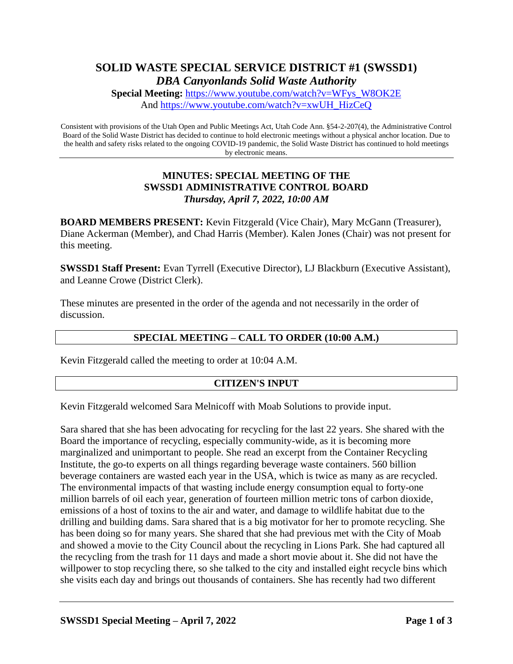# **SOLID WASTE SPECIAL SERVICE DISTRICT #1 (SWSSD1)** *DBA Canyonlands Solid Waste Authority*

**Special Meeting:** [https://www.youtube.com/watch?v=WFys\\_W8OK2E](https://www.youtube.com/watch?v=WFys_W8OK2E) And [https://www.youtube.com/watch?v=xwUH\\_HizCeQ](https://www.youtube.com/watch?v=xwUH_HizCeQ)

Consistent with provisions of the Utah Open and Public Meetings Act, Utah Code Ann. §54-2-207(4), the Administrative Control Board of the Solid Waste District has decided to continue to hold electronic meetings without a physical anchor location. Due to the health and safety risks related to the ongoing COVID-19 pandemic, the Solid Waste District has continued to hold meetings by electronic means.

## **MINUTES: SPECIAL MEETING OF THE SWSSD1 ADMINISTRATIVE CONTROL BOARD** *Thursday, April 7, 2022, 10:00 AM*

**BOARD MEMBERS PRESENT:** Kevin Fitzgerald (Vice Chair), Mary McGann (Treasurer), Diane Ackerman (Member), and Chad Harris (Member). Kalen Jones (Chair) was not present for this meeting.

**SWSSD1 Staff Present:** Evan Tyrrell (Executive Director), LJ Blackburn (Executive Assistant), and Leanne Crowe (District Clerk).

These minutes are presented in the order of the agenda and not necessarily in the order of discussion.

## **SPECIAL MEETING – CALL TO ORDER (10:00 A.M.)**

Kevin Fitzgerald called the meeting to order at 10:04 A.M.

### **CITIZEN'S INPUT**

Kevin Fitzgerald welcomed Sara Melnicoff with Moab Solutions to provide input.

Sara shared that she has been advocating for recycling for the last 22 years. She shared with the Board the importance of recycling, especially community-wide, as it is becoming more marginalized and unimportant to people. She read an excerpt from the Container Recycling Institute, the go-to experts on all things regarding beverage waste containers. 560 billion beverage containers are wasted each year in the USA, which is twice as many as are recycled. The environmental impacts of that wasting include energy consumption equal to forty-one million barrels of oil each year, generation of fourteen million metric tons of carbon dioxide, emissions of a host of toxins to the air and water, and damage to wildlife habitat due to the drilling and building dams. Sara shared that is a big motivator for her to promote recycling. She has been doing so for many years. She shared that she had previous met with the City of Moab and showed a movie to the City Council about the recycling in Lions Park. She had captured all the recycling from the trash for 11 days and made a short movie about it. She did not have the willpower to stop recycling there, so she talked to the city and installed eight recycle bins which she visits each day and brings out thousands of containers. She has recently had two different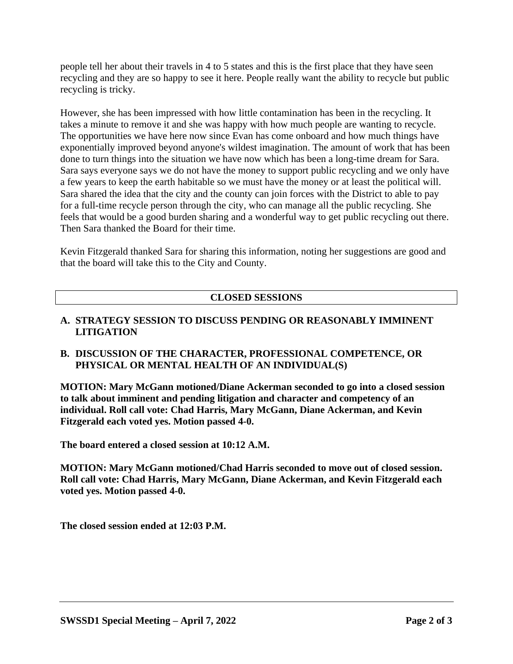people tell her about their travels in 4 to 5 states and this is the first place that they have seen recycling and they are so happy to see it here. People really want the ability to recycle but public recycling is tricky.

However, she has been impressed with how little contamination has been in the recycling. It takes a minute to remove it and she was happy with how much people are wanting to recycle. The opportunities we have here now since Evan has come onboard and how much things have exponentially improved beyond anyone's wildest imagination. The amount of work that has been done to turn things into the situation we have now which has been a long-time dream for Sara. Sara says everyone says we do not have the money to support public recycling and we only have a few years to keep the earth habitable so we must have the money or at least the political will. Sara shared the idea that the city and the county can join forces with the District to able to pay for a full-time recycle person through the city, who can manage all the public recycling. She feels that would be a good burden sharing and a wonderful way to get public recycling out there. Then Sara thanked the Board for their time.

Kevin Fitzgerald thanked Sara for sharing this information, noting her suggestions are good and that the board will take this to the City and County.

# **CLOSED SESSIONS**

## **A. STRATEGY SESSION TO DISCUSS PENDING OR REASONABLY IMMINENT LITIGATION**

## **B. DISCUSSION OF THE CHARACTER, PROFESSIONAL COMPETENCE, OR PHYSICAL OR MENTAL HEALTH OF AN INDIVIDUAL(S)**

**MOTION: Mary McGann motioned/Diane Ackerman seconded to go into a closed session to talk about imminent and pending litigation and character and competency of an individual. Roll call vote: Chad Harris, Mary McGann, Diane Ackerman, and Kevin Fitzgerald each voted yes. Motion passed 4-0.** 

**The board entered a closed session at 10:12 A.M.** 

**MOTION: Mary McGann motioned/Chad Harris seconded to move out of closed session. Roll call vote: Chad Harris, Mary McGann, Diane Ackerman, and Kevin Fitzgerald each voted yes. Motion passed 4-0.**

**The closed session ended at 12:03 P.M.**